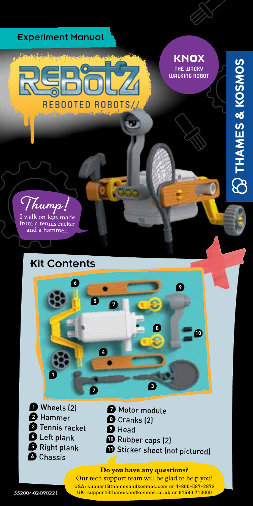

USA: support@thamesandkosmos.com or 1-800-587-2872 UK: support@thamesandkosmos.co.uk or 01580 713000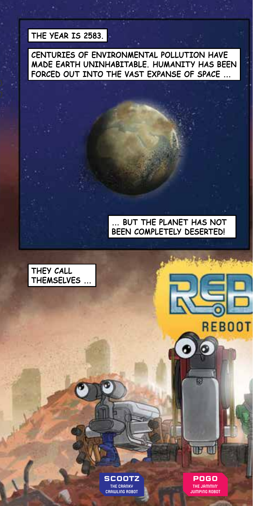### **THE YEAR IS 2583.**

**CENTURIES OF ENVIRONMENTAL POLLUTION HAVE MADE EARTH UNINHABITABLE. HUMANITY HAS BEEN FORCED OUT INTO THE VAST EXPANSE OF SPACE ...** 

#### **... BUT THE PLANET HAS NOT BEEN COMPLETELY DESERTED!**





**POGO THE JAMMIN' JUMPING ROBOT**

**THE TILE** 

9

**REBOOT**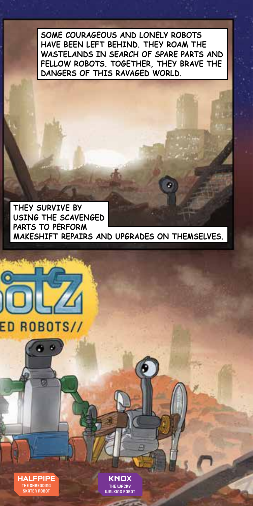**SOME COURAGEOUS AND LONELY ROBOTS HAVE BEEN LEFT BEHIND. THEY ROAM THE WASTELANDS IN SEARCH OF SPARE PARTS AND FELLOW ROBOTS. TOGETHER, THEY BRAVE THE DANGERS OF THIS RAVAGED WORLD.**

**THEY SURVIVE BY USING THE SCAVENGED PARTS TO PERFORM MAKESHIFT REPAIRS AND UPGRADES ON THEMSELVES.**

G



**HALFPIPE THE SHREDDING SKATER ROBOT**

**KNOX THE WACKY WALKING ROBOT**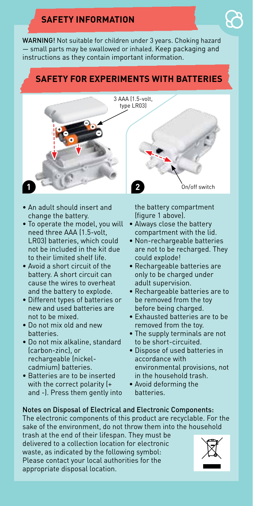# **SAFETY INFORMATION**

WARNING! Not suitable for children under 3 years. Choking hazard — small parts may be swallowed or inhaled. Keep packaging and instructions as they contain important information.

### **SAFETY FOR EXPERIMENTS WITH BATTERIES**



- An adult should insert and change the battery.
- To operate the model, you will need three AAA (1.5-volt, LR03) batteries, which could not be included in the kit due to their limited shelf life.
- Avoid a short circuit of the battery. A short circuit can cause the wires to overheat and the battery to explode.
- Different types of batteries or new and used batteries are not to be mixed.
- Do not mix old and new batteries.
- Do not mix alkaline, standard (carbon-zinc), or rechargeable (nickelcadmium) batteries.
- Batteries are to be inserted with the correct polarity (+ and -). Press them gently into

the battery compartment (figure 1 above).

- Always close the battery compartment with the lid.
- Non-rechargeable batteries are not to be recharged. They could explode!
- Rechargeable batteries are only to be charged under adult supervision.
- Rechargeable batteries are to be removed from the toy before being charged.
- Exhausted batteries are to be removed from the toy.
- The supply terminals are not to be short-circuited.
- Dispose of used batteries in accordance with environmental provisions, not in the household trash.
- Avoid deforming the batteries.

#### Notes on Disposal of Electrical and Electronic Components:

The electronic components of this product are recyclable. For the sake of the environment, do not throw them into the household

trash at the end of their lifespan. They must be delivered to a collection location for electronic waste, as indicated by the following symbol: Please contact your local authorities for the appropriate disposal location.

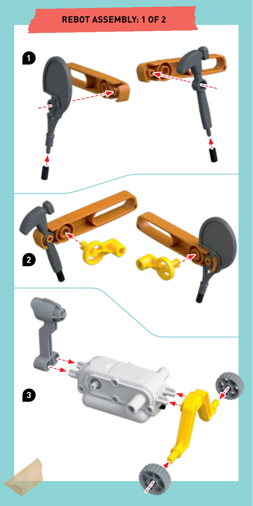## **REBOT ASSEMBLY: 1 OF 2**

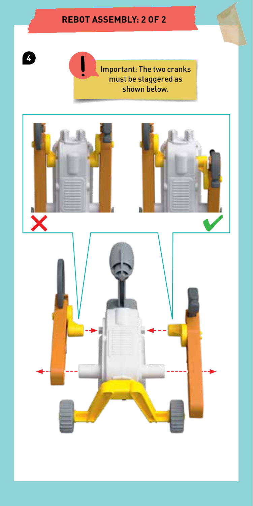## **REBOT ASSEMBLY: 2 OF 2**

**4**

Important: The two cranks must be staggered as shown below.

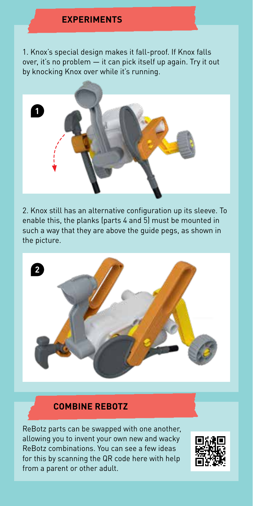#### **EXPERIMENTS**

1. Knox's special design makes it fall-proof. If Knox falls over, it's no problem — it can pick itself up again. Try it out by knocking Knox over while it's running.



2. Knox still has an alternative configuration up its sleeve. To enable this, the planks (parts 4 and 5) must be mounted in such a way that they are above the guide pegs, as shown in the picture.



#### **COMBINE REBOTZ**

ReBotz parts can be swapped with one another, allowing you to invent your own new and wacky ReBotz combinations. You can see a few ideas for this by scanning the QR code here with help from a parent or other adult.